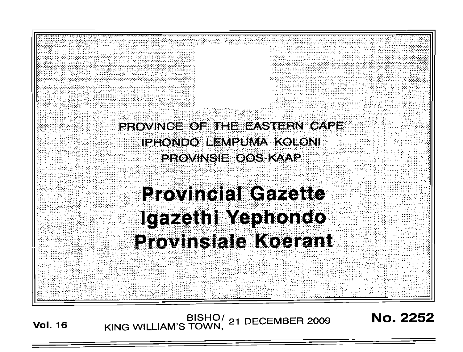

BISHO/ 21 DECEMBER 2009<br>KING WILLIAM'S TOWN, 21 DECEMBER 2009 **Vol. 16** 

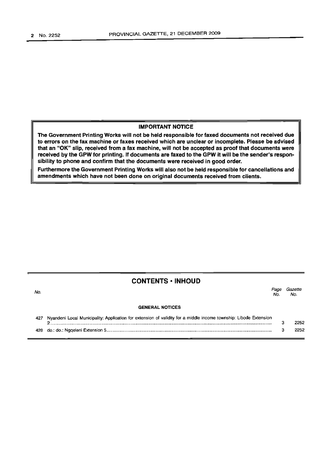No.

# IMPORTANT NOTICE

The Government Printing Works will not be held responsible for faxed documents not received due to errors on the fax machine or faxes received which are unclear or incomplete. Please be advised that an "OK" slip, received from a fax machine, will not be accepted as proof that documents were received by the GPW for printing. If documents are faxed to the GPW it will be the sender's responsibility to phone and confirm that the documents were received in good order.

Furthermore the Government Printing Works will also not be held responsible for cancellations and amendments which have not been done on original documents received from clients.

# CONTENTS ·INHOUD

GENERAL NOTICES

Page Gazette No. No.

| 427 Nyandeni Local Municipality: Application for extension of validity for a middle income township: Libode Extension |      |
|-----------------------------------------------------------------------------------------------------------------------|------|
|                                                                                                                       | 2252 |
|                                                                                                                       | 2252 |